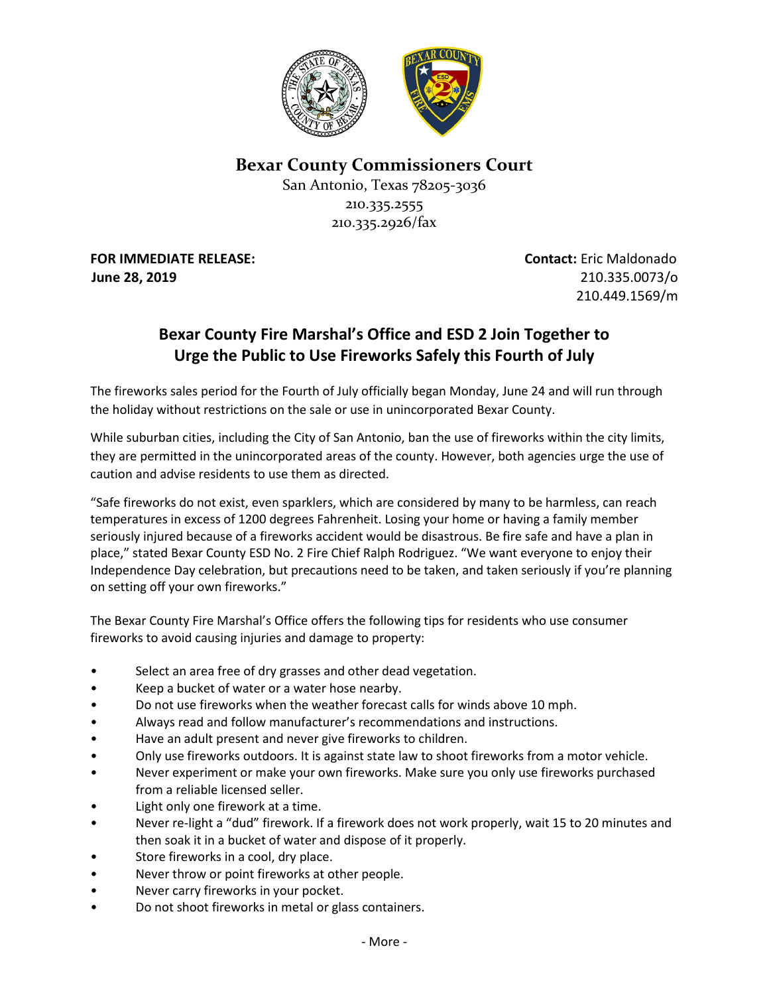

**Bexar County Commissioners Court**

San Antonio, Texas 78205-3036 210.335.2555 210.335.2926/fax

**FOR IMMEDIATE RELEASE: Contact:** Eric Maldonado **June 28, 2019** 210.335.0073/o

210.449.1569/m

## **Bexar County Fire Marshal's Office and ESD 2 Join Together to Urge the Public to Use Fireworks Safely this Fourth of July**

The fireworks sales period for the Fourth of July officially began Monday, June 24 and will run through the holiday without restrictions on the sale or use in unincorporated Bexar County.

While suburban cities, including the City of San Antonio, ban the use of fireworks within the city limits, they are permitted in the unincorporated areas of the county. However, both agencies urge the use of caution and advise residents to use them as directed.

"Safe fireworks do not exist, even sparklers, which are considered by many to be harmless, can reach temperatures in excess of 1200 degrees Fahrenheit. Losing your home or having a family member seriously injured because of a fireworks accident would be disastrous. Be fire safe and have a plan in place," stated Bexar County ESD No. 2 Fire Chief Ralph Rodriguez. "We want everyone to enjoy their Independence Day celebration, but precautions need to be taken, and taken seriously if you're planning on setting off your own fireworks."

The Bexar County Fire Marshal's Office offers the following tips for residents who use consumer fireworks to avoid causing injuries and damage to property:

- Select an area free of dry grasses and other dead vegetation.
- Keep a bucket of water or a water hose nearby.
- Do not use fireworks when the weather forecast calls for winds above 10 mph.
- Always read and follow manufacturer's recommendations and instructions.
- Have an adult present and never give fireworks to children.
- Only use fireworks outdoors. It is against state law to shoot fireworks from a motor vehicle.
- Never experiment or make your own fireworks. Make sure you only use fireworks purchased from a reliable licensed seller.
- Light only one firework at a time.
- Never re‐light a "dud" firework. If a firework does not work properly, wait 15 to 20 minutes and then soak it in a bucket of water and dispose of it properly.
- Store fireworks in a cool, dry place.
- Never throw or point fireworks at other people.
- Never carry fireworks in your pocket.
- Do not shoot fireworks in metal or glass containers.